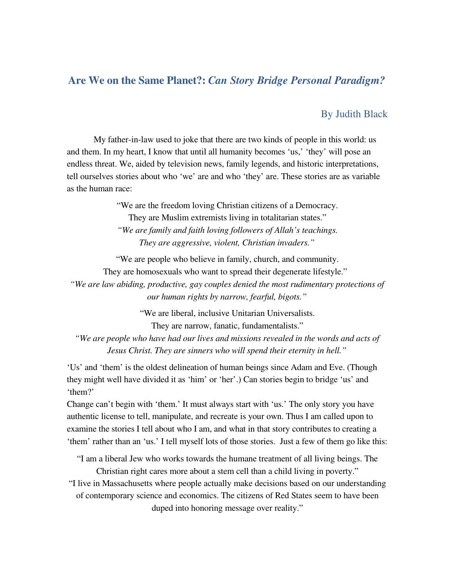## Are We on the Same Planet?: *Can Story Bridge Personal Paradigm?*

## By Judith Black

My father-in-law used to joke that there are two kinds of people in this world: us and them. In my heart, I know that until all humanity becomes 'us,' 'they' will pose an endless threat. We, aided by television news, family legends, and historic interpretations, tell ourselves stories about who 'we' are and who 'they' are. These stories are as variable as the human race:

> "We are the freedom loving Christian citizens of a Democracy. They are Muslim extremists living in totalitarian states."

> *"We are family and faith loving followers of Allah's teachings. They are aggressive, violent, Christian invaders."*

"We are people who believe in family, church, and community. They are homosexuals who want to spread their degenerate lifestyle." *"We are law abiding, productive, gay couples denied the most rudimentary protections of our human rights by narrow, fearful, bigots."*

> "We are liberal, inclusive Unitarian Universalists. They are narrow, fanatic, fundamentalists."

*"We are people who have had our lives and missions revealed in the words and acts of Jesus Christ. They are sinners who will spend their eternity in hell."*

'Us' and 'them' is the oldest delineation of human beings since Adam and Eve. (Though they might well have divided it as 'him' or 'her'.) Can stories begin to bridge 'us' and 'them?'

Change can't begin with 'them.' It must always start with 'us.' The only story you have authentic license to tell, manipulate, and recreate is your own. Thus I am called upon to examine the stories I tell about who I am, and what in that story contributes to creating a 'them' rather than an 'us.' I tell myself lots of those stories. Just a few of them go like this:

"I am a liberal Jew who works towards the humane treatment of all living beings. The Christian right cares more about a stem cell than a child living in poverty."

"I live in Massachusetts where people actually make decisions based on our understanding of contemporary science and economics. The citizens of Red States seem to have been duped into honoring message over reality."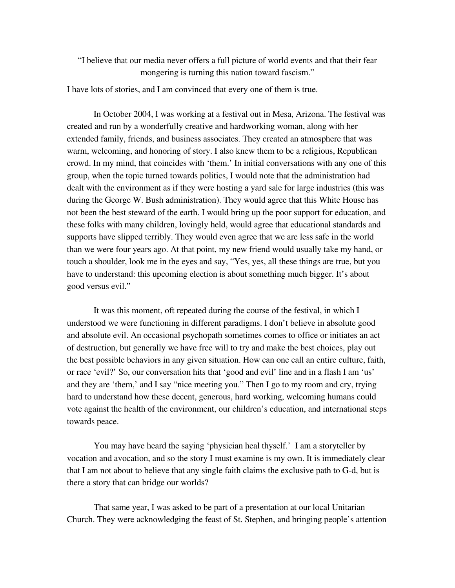"I believe that our media never offers a full picture of world events and that their fear mongering is turning this nation toward fascism."

I have lots of stories, and I am convinced that every one of them is true.

In October 2004, I was working at a festival out in Mesa, Arizona. The festival was created and run by a wonderfully creative and hardworking woman, along with her extended family, friends, and business associates. They created an atmosphere that was warm, welcoming, and honoring of story. I also knew them to be a religious, Republican crowd. In my mind, that coincides with 'them.' In initial conversations with any one of this group, when the topic turned towards politics, I would note that the administration had dealt with the environment as if they were hosting a yard sale for large industries (this was during the George W. Bush administration). They would agree that this White House has not been the best steward of the earth. I would bring up the poor support for education, and these folks with many children, lovingly held, would agree that educational standards and supports have slipped terribly. They would even agree that we are less safe in the world than we were four years ago. At that point, my new friend would usually take my hand, or touch a shoulder, look me in the eyes and say, "Yes, yes, all these things are true, but you have to understand: this upcoming election is about something much bigger. It's about good versus evil."

It was this moment, oft repeated during the course of the festival, in which I understood we were functioning in different paradigms. I don't believe in absolute good and absolute evil. An occasional psychopath sometimes comes to office or initiates an act of destruction, but generally we have free will to try and make the best choices, play out the best possible behaviors in any given situation. How can one call an entire culture, faith, or race 'evil?' So, our conversation hits that 'good and evil' line and in a flash I am 'us' and they are 'them,' and I say "nice meeting you." Then I go to my room and cry, trying hard to understand how these decent, generous, hard working, welcoming humans could vote against the health of the environment, our children's education, and international steps towards peace.

You may have heard the saying 'physician heal thyself.' I am a storyteller by vocation and avocation, and so the story I must examine is my own. It is immediately clear that I am not about to believe that any single faith claims the exclusive path to  $G-d$ , but is there a story that can bridge our worlds?

That same year, I was asked to be part of a presentation at our local Unitarian Church. They were acknowledging the feast of St. Stephen, and bringing people's attention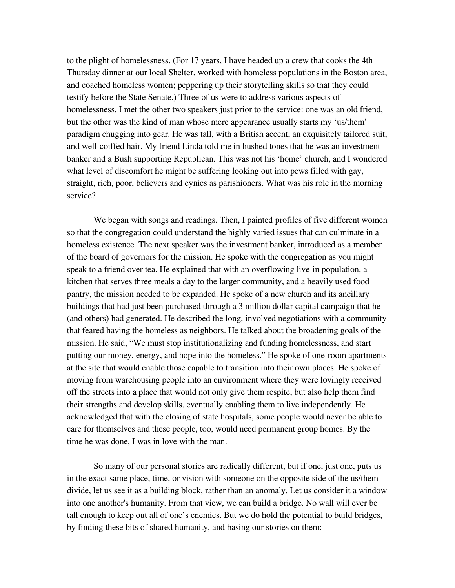to the plight of homelessness. (For 17 years, I have headed up a crew that cooks the 4th Thursday dinner at our local Shelter, worked with homeless populations in the Boston area, and coached homeless women; peppering up their storytelling skills so that they could testify before the State Senate.) Three of us were to address various aspects of homelessness. I met the other two speakers just prior to the service: one was an old friend, but the other was the kind of man whose mere appearance usually starts my 'us/them' paradigm chugging into gear. He was tall, with a British accent, an exquisitely tailored suit, and well-coiffed hair. My friend Linda told me in hushed tones that he was an investment banker and a Bush supporting Republican. This was not his 'home' church, and I wondered what level of discomfort he might be suffering looking out into pews filled with gay, straight, rich, poor, believers and cynics as parishioners. What was his role in the morning service?

We began with songs and readings. Then, I painted profiles of five different women so that the congregation could understand the highly varied issues that can culminate in a homeless existence. The next speaker was the investment banker, introduced as a member of the board of governors for the mission. He spoke with the congregation as you might speak to a friend over tea. He explained that with an overflowing live-in population, a kitchen that serves three meals a day to the larger community, and a heavily used food pantry, the mission needed to be expanded. He spoke of a new church and its ancillary buildings that had just been purchased through a 3 million dollar capital campaign that he (and others) had generated. He described the long, involved negotiations with a community that feared having the homeless as neighbors. He talked about the broadening goals of the mission. He said, "We must stop institutionalizing and funding homelessness, and start putting our money, energy, and hope into the homeless." He spoke of one-room apartments at the site that would enable those capable to transition into their own places. He spoke of moving from warehousing people into an environment where they were lovingly received off the streets into a place that would not only give them respite, but also help them find their strengths and develop skills, eventually enabling them to live independently. He acknowledged that with the closing of state hospitals, some people would never be able to care for themselves and these people, too, would need permanent group homes. By the time he was done, I was in love with the man.

So many of our personal stories are radically different, but if one, just one, puts us in the exact same place, time, or vision with someone on the opposite side of the us/them divide, let us see it as a building block, rather than an anomaly. Let us consider it a window into one another's humanity. From that view, we can build a bridge. No wall will ever be tall enough to keep out all of one's enemies. But we do hold the potential to build bridges, by finding these bits of shared humanity, and basing our stories on them: